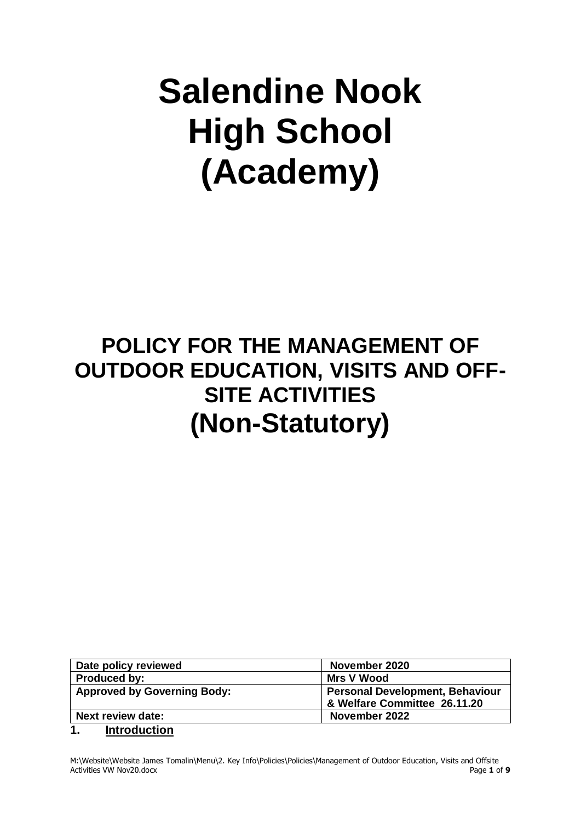# **Salendine Nook High School (Academy)**

# **POLICY FOR THE MANAGEMENT OF OUTDOOR EDUCATION, VISITS AND OFF-SITE ACTIVITIES (Non-Statutory)**

| Date policy reviewed               | November 2020                          |
|------------------------------------|----------------------------------------|
| <b>Produced by:</b>                | Mrs V Wood                             |
| <b>Approved by Governing Body:</b> | <b>Personal Development, Behaviour</b> |
|                                    | & Welfare Committee 26.11.20           |
| <b>Next review date:</b>           | November 2022                          |
| .                                  |                                        |

#### **1. Introduction**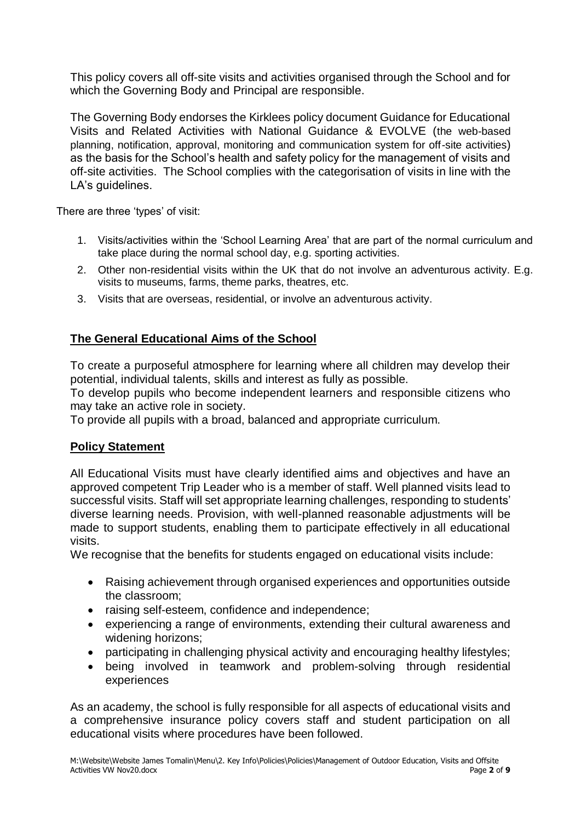This policy covers all off-site visits and activities organised through the School and for which the Governing Body and Principal are responsible.

The Governing Body endorses the Kirklees policy document Guidance for Educational Visits and Related Activities with National Guidance & EVOLVE (the web-based planning, notification, approval, monitoring and communication system for off-site activities) as the basis for the School's health and safety policy for the management of visits and off-site activities. The School complies with the categorisation of visits in line with the LA's guidelines.

There are three 'types' of visit:

- 1. Visits/activities within the 'School Learning Area' that are part of the normal curriculum and take place during the normal school day, e.g. sporting activities.
- 2. Other non-residential visits within the UK that do not involve an adventurous activity. E.g. visits to museums, farms, theme parks, theatres, etc.
- 3. Visits that are overseas, residential, or involve an adventurous activity.

#### **The General Educational Aims of the School**

To create a purposeful atmosphere for learning where all children may develop their potential, individual talents, skills and interest as fully as possible.

To develop pupils who become independent learners and responsible citizens who may take an active role in society.

To provide all pupils with a broad, balanced and appropriate curriculum.

#### **Policy Statement**

All Educational Visits must have clearly identified aims and objectives and have an approved competent Trip Leader who is a member of staff. Well planned visits lead to successful visits. Staff will set appropriate learning challenges, responding to students' diverse learning needs. Provision, with well-planned reasonable adjustments will be made to support students, enabling them to participate effectively in all educational visits.

We recognise that the benefits for students engaged on educational visits include:

- Raising achievement through organised experiences and opportunities outside the classroom;
- raising self-esteem, confidence and independence;
- experiencing a range of environments, extending their cultural awareness and widening horizons;
- participating in challenging physical activity and encouraging healthy lifestyles;
- being involved in teamwork and problem-solving through residential experiences

As an academy, the school is fully responsible for all aspects of educational visits and a comprehensive insurance policy covers staff and student participation on all educational visits where procedures have been followed.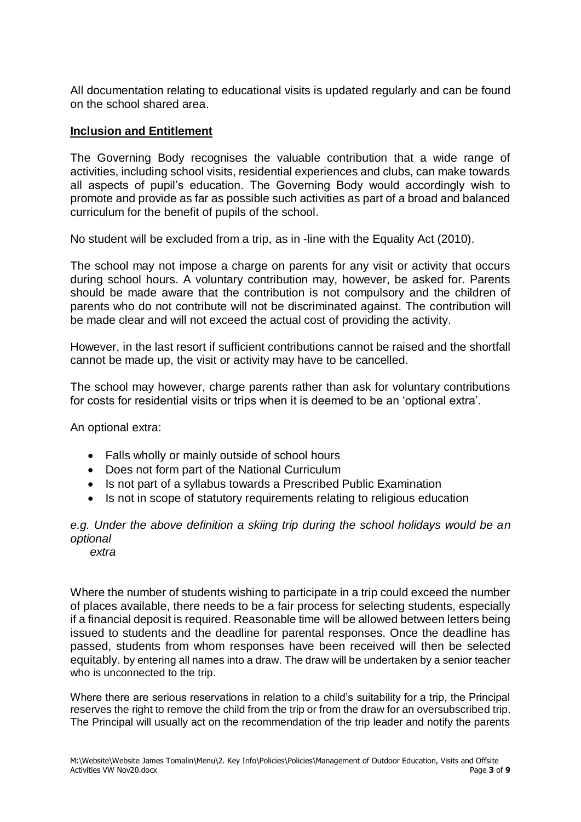All documentation relating to educational visits is updated regularly and can be found on the school shared area.

#### **Inclusion and Entitlement**

The Governing Body recognises the valuable contribution that a wide range of activities, including school visits, residential experiences and clubs, can make towards all aspects of pupil's education. The Governing Body would accordingly wish to promote and provide as far as possible such activities as part of a broad and balanced curriculum for the benefit of pupils of the school.

No student will be excluded from a trip, as in -line with the Equality Act (2010).

The school may not impose a charge on parents for any visit or activity that occurs during school hours. A voluntary contribution may, however, be asked for. Parents should be made aware that the contribution is not compulsory and the children of parents who do not contribute will not be discriminated against. The contribution will be made clear and will not exceed the actual cost of providing the activity.

However, in the last resort if sufficient contributions cannot be raised and the shortfall cannot be made up, the visit or activity may have to be cancelled.

The school may however, charge parents rather than ask for voluntary contributions for costs for residential visits or trips when it is deemed to be an 'optional extra'.

An optional extra:

- Falls wholly or mainly outside of school hours
- Does not form part of the National Curriculum
- Is not part of a syllabus towards a Prescribed Public Examination
- Is not in scope of statutory requirements relating to religious education

*e.g. Under the above definition a skiing trip during the school holidays would be an optional* 

 *extra*

Where the number of students wishing to participate in a trip could exceed the number of places available, there needs to be a fair process for selecting students, especially if a financial deposit is required. Reasonable time will be allowed between letters being issued to students and the deadline for parental responses. Once the deadline has passed, students from whom responses have been received will then be selected equitably. by entering all names into a draw. The draw will be undertaken by a senior teacher who is unconnected to the trip.

Where there are serious reservations in relation to a child's suitability for a trip, the Principal reserves the right to remove the child from the trip or from the draw for an oversubscribed trip. The Principal will usually act on the recommendation of the trip leader and notify the parents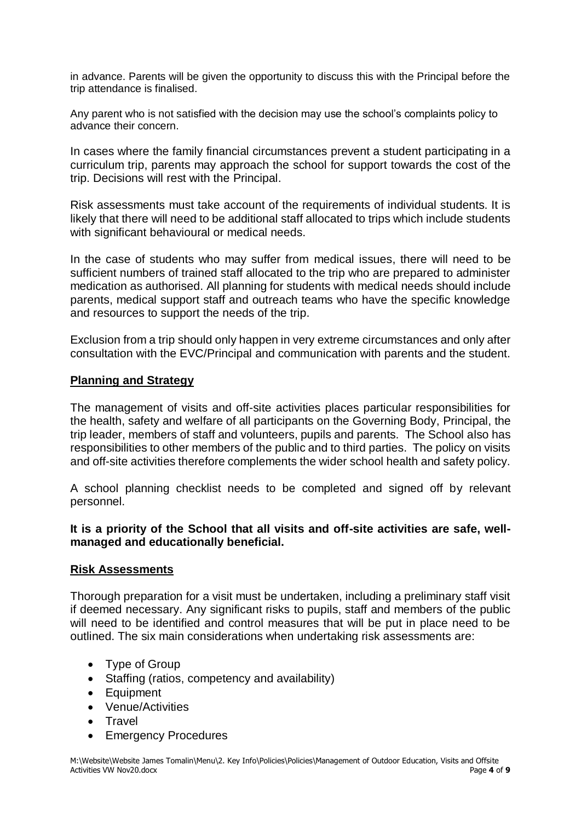in advance. Parents will be given the opportunity to discuss this with the Principal before the trip attendance is finalised.

Any parent who is not satisfied with the decision may use the school's complaints policy to advance their concern.

In cases where the family financial circumstances prevent a student participating in a curriculum trip, parents may approach the school for support towards the cost of the trip. Decisions will rest with the Principal.

Risk assessments must take account of the requirements of individual students. It is likely that there will need to be additional staff allocated to trips which include students with significant behavioural or medical needs.

In the case of students who may suffer from medical issues, there will need to be sufficient numbers of trained staff allocated to the trip who are prepared to administer medication as authorised. All planning for students with medical needs should include parents, medical support staff and outreach teams who have the specific knowledge and resources to support the needs of the trip.

Exclusion from a trip should only happen in very extreme circumstances and only after consultation with the EVC/Principal and communication with parents and the student.

#### **Planning and Strategy**

The management of visits and off-site activities places particular responsibilities for the health, safety and welfare of all participants on the Governing Body, Principal, the trip leader, members of staff and volunteers, pupils and parents. The School also has responsibilities to other members of the public and to third parties. The policy on visits and off-site activities therefore complements the wider school health and safety policy.

A school planning checklist needs to be completed and signed off by relevant personnel.

#### **It is a priority of the School that all visits and off-site activities are safe, wellmanaged and educationally beneficial.**

#### **Risk Assessments**

Thorough preparation for a visit must be undertaken, including a preliminary staff visit if deemed necessary. Any significant risks to pupils, staff and members of the public will need to be identified and control measures that will be put in place need to be outlined. The six main considerations when undertaking risk assessments are:

- Type of Group
- Staffing (ratios, competency and availability)
- Equipment
- Venue/Activities
- Travel
- Emergency Procedures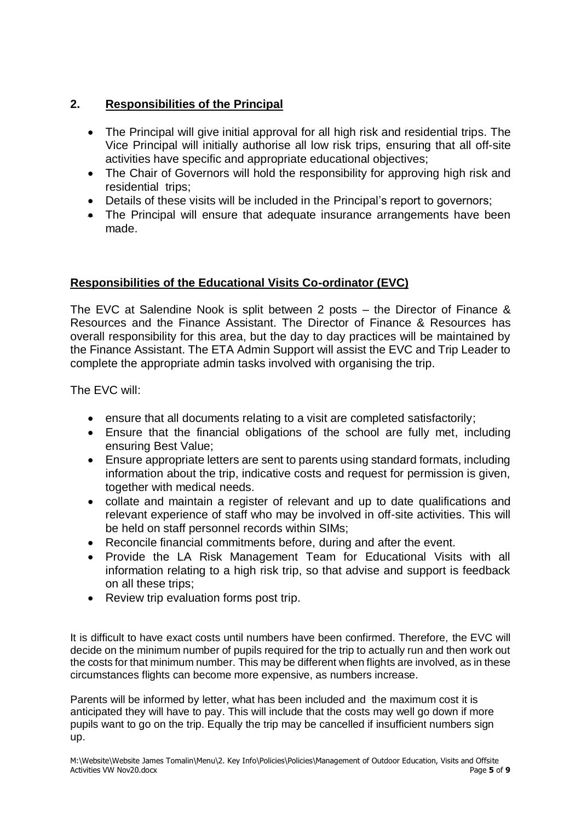# **2. Responsibilities of the Principal**

- The Principal will give initial approval for all high risk and residential trips. The Vice Principal will initially authorise all low risk trips, ensuring that all off-site activities have specific and appropriate educational objectives;
- The Chair of Governors will hold the responsibility for approving high risk and residential trips;
- Details of these visits will be included in the Principal's report to governors;
- The Principal will ensure that adequate insurance arrangements have been made.

# **Responsibilities of the Educational Visits Co-ordinator (EVC)**

The EVC at Salendine Nook is split between 2 posts – the Director of Finance & Resources and the Finance Assistant. The Director of Finance & Resources has overall responsibility for this area, but the day to day practices will be maintained by the Finance Assistant. The ETA Admin Support will assist the EVC and Trip Leader to complete the appropriate admin tasks involved with organising the trip.

The EVC will:

- ensure that all documents relating to a visit are completed satisfactorily;
- Ensure that the financial obligations of the school are fully met, including ensuring Best Value;
- Ensure appropriate letters are sent to parents using standard formats, including information about the trip, indicative costs and request for permission is given, together with medical needs.
- collate and maintain a register of relevant and up to date qualifications and relevant experience of staff who may be involved in off-site activities. This will be held on staff personnel records within SIMs;
- Reconcile financial commitments before, during and after the event.
- Provide the LA Risk Management Team for Educational Visits with all information relating to a high risk trip, so that advise and support is feedback on all these trips;
- Review trip evaluation forms post trip.

It is difficult to have exact costs until numbers have been confirmed. Therefore, the EVC will decide on the minimum number of pupils required for the trip to actually run and then work out the costs for that minimum number. This may be different when flights are involved, as in these circumstances flights can become more expensive, as numbers increase.

Parents will be informed by letter, what has been included and the maximum cost it is anticipated they will have to pay. This will include that the costs may well go down if more pupils want to go on the trip. Equally the trip may be cancelled if insufficient numbers sign up.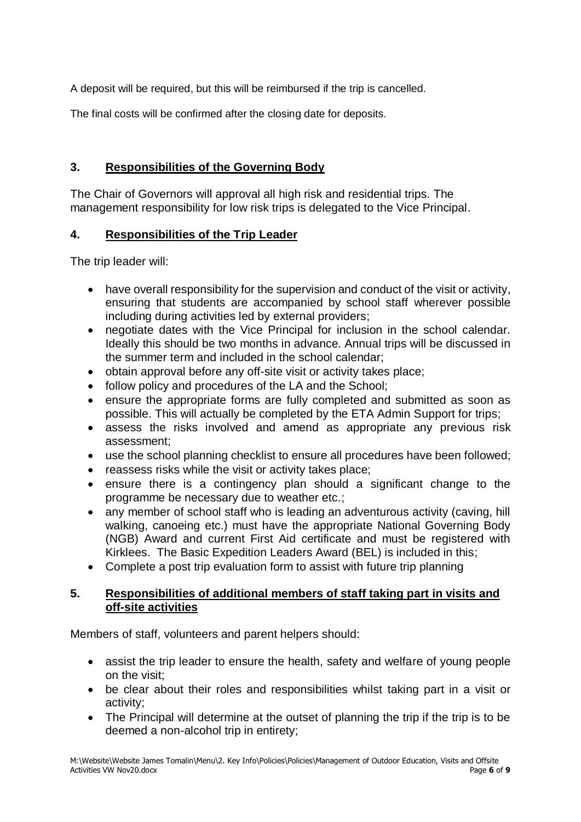A deposit will be required, but this will be reimbursed if the trip is cancelled.

The final costs will be confirmed after the closing date for deposits.

# **3. Responsibilities of the Governing Body**

The Chair of Governors will approval all high risk and residential trips. The management responsibility for low risk trips is delegated to the Vice Principal.

## **4. Responsibilities of the Trip Leader**

The trip leader will:

- have overall responsibility for the supervision and conduct of the visit or activity, ensuring that students are accompanied by school staff wherever possible including during activities led by external providers;
- negotiate dates with the Vice Principal for inclusion in the school calendar. Ideally this should be two months in advance. Annual trips will be discussed in the summer term and included in the school calendar;
- obtain approval before any off-site visit or activity takes place;
- follow policy and procedures of the LA and the School;
- ensure the appropriate forms are fully completed and submitted as soon as possible. This will actually be completed by the ETA Admin Support for trips;
- assess the risks involved and amend as appropriate any previous risk assessment;
- use the school planning checklist to ensure all procedures have been followed;
- reassess risks while the visit or activity takes place:
- ensure there is a contingency plan should a significant change to the programme be necessary due to weather etc.;
- any member of school staff who is leading an adventurous activity (caving, hill walking, canoeing etc.) must have the appropriate National Governing Body (NGB) Award and current First Aid certificate and must be registered with Kirklees. The Basic Expedition Leaders Award (BEL) is included in this;
- Complete a post trip evaluation form to assist with future trip planning

## **5. Responsibilities of additional members of staff taking part in visits and off-site activities**

Members of staff, volunteers and parent helpers should:

- assist the trip leader to ensure the health, safety and welfare of young people on the visit;
- be clear about their roles and responsibilities whilst taking part in a visit or activity;
- The Principal will determine at the outset of planning the trip if the trip is to be deemed a non-alcohol trip in entirety;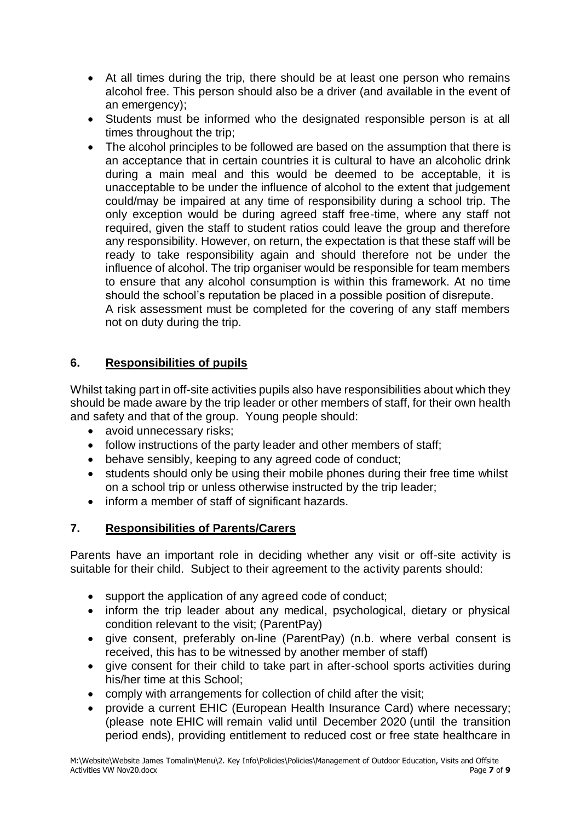- At all times during the trip, there should be at least one person who remains alcohol free. This person should also be a driver (and available in the event of an emergency);
- Students must be informed who the designated responsible person is at all times throughout the trip;
- The alcohol principles to be followed are based on the assumption that there is an acceptance that in certain countries it is cultural to have an alcoholic drink during a main meal and this would be deemed to be acceptable, it is unacceptable to be under the influence of alcohol to the extent that judgement could/may be impaired at any time of responsibility during a school trip. The only exception would be during agreed staff free-time, where any staff not required, given the staff to student ratios could leave the group and therefore any responsibility. However, on return, the expectation is that these staff will be ready to take responsibility again and should therefore not be under the influence of alcohol. The trip organiser would be responsible for team members to ensure that any alcohol consumption is within this framework. At no time should the school's reputation be placed in a possible position of disrepute. A risk assessment must be completed for the covering of any staff members not on duty during the trip.

# **6. Responsibilities of pupils**

Whilst taking part in off-site activities pupils also have responsibilities about which they should be made aware by the trip leader or other members of staff, for their own health and safety and that of the group. Young people should:

- avoid unnecessary risks;
- follow instructions of the party leader and other members of staff;
- behave sensibly, keeping to any agreed code of conduct;
- students should only be using their mobile phones during their free time whilst on a school trip or unless otherwise instructed by the trip leader;
- inform a member of staff of significant hazards.

## **7. Responsibilities of Parents/Carers**

Parents have an important role in deciding whether any visit or off-site activity is suitable for their child. Subject to their agreement to the activity parents should:

- support the application of any agreed code of conduct;
- inform the trip leader about any medical, psychological, dietary or physical condition relevant to the visit; (ParentPay)
- give consent, preferably on-line (ParentPay) (n.b. where verbal consent is received, this has to be witnessed by another member of staff)
- give consent for their child to take part in after-school sports activities during his/her time at this School;
- comply with arrangements for collection of child after the visit;
- provide a current EHIC (European Health Insurance Card) where necessary; (please note EHIC will remain valid until December 2020 (until the transition period ends), providing entitlement to reduced cost or free state healthcare in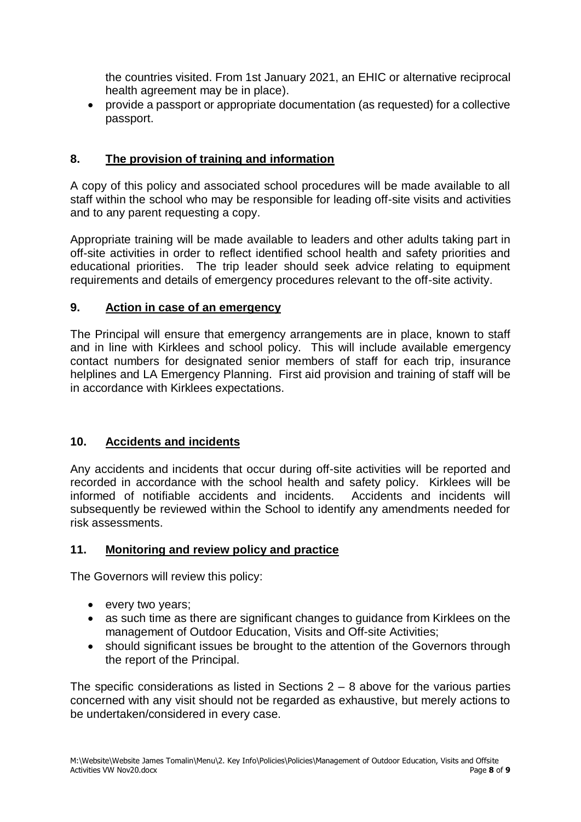the countries visited. From 1st January 2021, an EHIC or alternative reciprocal health agreement may be in place).

• provide a passport or appropriate documentation (as requested) for a collective passport.

# **8. The provision of training and information**

A copy of this policy and associated school procedures will be made available to all staff within the school who may be responsible for leading off-site visits and activities and to any parent requesting a copy.

Appropriate training will be made available to leaders and other adults taking part in off-site activities in order to reflect identified school health and safety priorities and educational priorities. The trip leader should seek advice relating to equipment requirements and details of emergency procedures relevant to the off-site activity.

#### **9. Action in case of an emergency**

The Principal will ensure that emergency arrangements are in place, known to staff and in line with Kirklees and school policy. This will include available emergency contact numbers for designated senior members of staff for each trip, insurance helplines and LA Emergency Planning. First aid provision and training of staff will be in accordance with Kirklees expectations.

## **10. Accidents and incidents**

Any accidents and incidents that occur during off-site activities will be reported and recorded in accordance with the school health and safety policy. Kirklees will be informed of notifiable accidents and incidents. Accidents and incidents will subsequently be reviewed within the School to identify any amendments needed for risk assessments.

#### **11. Monitoring and review policy and practice**

The Governors will review this policy:

- every two vears:
- as such time as there are significant changes to guidance from Kirklees on the management of Outdoor Education, Visits and Off-site Activities;
- should significant issues be brought to the attention of the Governors through the report of the Principal.

The specific considerations as listed in Sections  $2 - 8$  above for the various parties concerned with any visit should not be regarded as exhaustive, but merely actions to be undertaken/considered in every case.